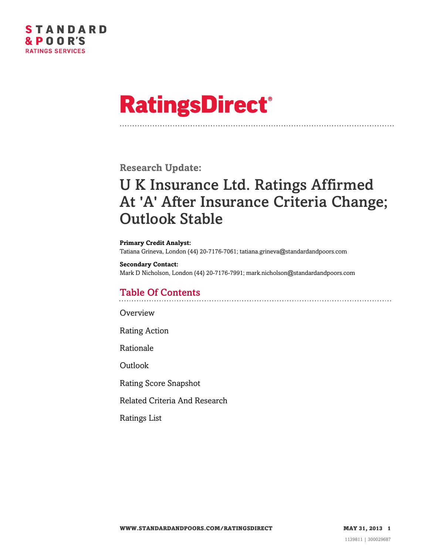

# **RatingsDirect®**

**Research Update:**

# U K Insurance Ltd. Ratings Affirmed At 'A' After Insurance Criteria Change; Outlook Stable

**Primary Credit Analyst:** Tatiana Grineva, London (44) 20-7176-7061; tatiana.grineva@standardandpoors.com

**Secondary Contact:** Mark D Nicholson, London (44) 20-7176-7991; mark.nicholson@standardandpoors.com

# Table Of Contents

[Overview](#page-1-0)

[Rating Action](#page-1-1)

[Rationale](#page-1-2)

[Outlook](#page-3-0)

[Rating Score Snapshot](#page-4-0)

[Related Criteria And Research](#page-4-1)

[Ratings List](#page-5-0)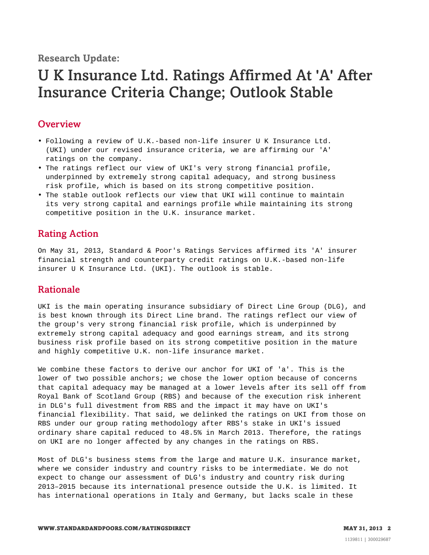**Research Update:**

# U K Insurance Ltd. Ratings Affirmed At 'A' After Insurance Criteria Change; Outlook Stable

### <span id="page-1-0"></span>**Overview**

- Following a review of U.K.-based non-life insurer U K Insurance Ltd. (UKI) under our revised insurance criteria, we are affirming our 'A' ratings on the company.
- The ratings reflect our view of UKI's very strong financial profile, underpinned by extremely strong capital adequacy, and strong business risk profile, which is based on its strong competitive position.
- The stable outlook reflects our view that UKI will continue to maintain its very strong capital and earnings profile while maintaining its strong competitive position in the U.K. insurance market.

# <span id="page-1-1"></span>Rating Action

On May 31, 2013, Standard & Poor's Ratings Services affirmed its 'A' insurer financial strength and counterparty credit ratings on U.K.-based non-life insurer U K Insurance Ltd. (UKI). The outlook is stable.

## <span id="page-1-2"></span>Rationale

UKI is the main operating insurance subsidiary of Direct Line Group (DLG), and is best known through its Direct Line brand. The ratings reflect our view of the group's very strong financial risk profile, which is underpinned by extremely strong capital adequacy and good earnings stream, and its strong business risk profile based on its strong competitive position in the mature and highly competitive U.K. non-life insurance market.

We combine these factors to derive our anchor for UKI of 'a'. This is the lower of two possible anchors; we chose the lower option because of concerns that capital adequacy may be managed at a lower levels after its sell off from Royal Bank of Scotland Group (RBS) and because of the execution risk inherent in DLG's full divestment from RBS and the impact it may have on UKI's financial flexibility. That said, we delinked the ratings on UKI from those on RBS under our group rating methodology after RBS's stake in UKI's issued ordinary share capital reduced to 48.5% in March 2013. Therefore, the ratings on UKI are no longer affected by any changes in the ratings on RBS.

Most of DLG's business stems from the large and mature U.K. insurance market, where we consider industry and country risks to be intermediate. We do not expect to change our assessment of DLG's industry and country risk during 2013–2015 because its international presence outside the U.K. is limited. It has international operations in Italy and Germany, but lacks scale in these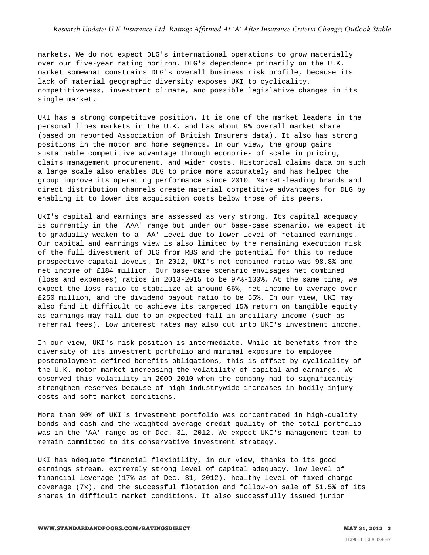#### *Research Update: U K Insurance Ltd. Ratings Affirmed At 'A' After Insurance Criteria Change; Outlook Stable*

markets. We do not expect DLG's international operations to grow materially over our five-year rating horizon. DLG's dependence primarily on the U.K. market somewhat constrains DLG's overall business risk profile, because its lack of material geographic diversity exposes UKI to cyclicality, competitiveness, investment climate, and possible legislative changes in its single market.

UKI has a strong competitive position. It is one of the market leaders in the personal lines markets in the U.K. and has about 9% overall market share (based on reported Association of British Insurers data). It also has strong positions in the motor and home segments. In our view, the group gains sustainable competitive advantage through economies of scale in pricing, claims management procurement, and wider costs. Historical claims data on such a large scale also enables DLG to price more accurately and has helped the group improve its operating performance since 2010. Market-leading brands and direct distribution channels create material competitive advantages for DLG by enabling it to lower its acquisition costs below those of its peers.

UKI's capital and earnings are assessed as very strong. Its capital adequacy is currently in the 'AAA' range but under our base-case scenario, we expect it to gradually weaken to a 'AA' level due to lower level of retained earnings. Our capital and earnings view is also limited by the remaining execution risk of the full divestment of DLG from RBS and the potential for this to reduce prospective capital levels. In 2012, UKI's net combined ratio was 98.8% and net income of £184 million. Our base-case scenario envisages net combined (loss and expenses) ratios in 2013-2015 to be 97%-100%. At the same time, we expect the loss ratio to stabilize at around 66%, net income to average over £250 million, and the dividend payout ratio to be 55%. In our view, UKI may also find it difficult to achieve its targeted 15% return on tangible equity as earnings may fall due to an expected fall in ancillary income (such as referral fees). Low interest rates may also cut into UKI's investment income.

In our view, UKI's risk position is intermediate. While it benefits from the diversity of its investment portfolio and minimal exposure to employee postemployment defined benefits obligations, this is offset by cyclicality of the U.K. motor market increasing the volatility of capital and earnings. We observed this volatility in 2009-2010 when the company had to significantly strengthen reserves because of high industrywide increases in bodily injury costs and soft market conditions.

More than 90% of UKI's investment portfolio was concentrated in high-quality bonds and cash and the weighted-average credit quality of the total portfolio was in the 'AA' range as of Dec. 31, 2012. We expect UKI's management team to remain committed to its conservative investment strategy.

UKI has adequate financial flexibility, in our view, thanks to its good earnings stream, extremely strong level of capital adequacy, low level of financial leverage (17% as of Dec. 31, 2012), healthy level of fixed-charge coverage (7x), and the successful flotation and follow-on sale of 51.5% of its shares in difficult market conditions. It also successfully issued junior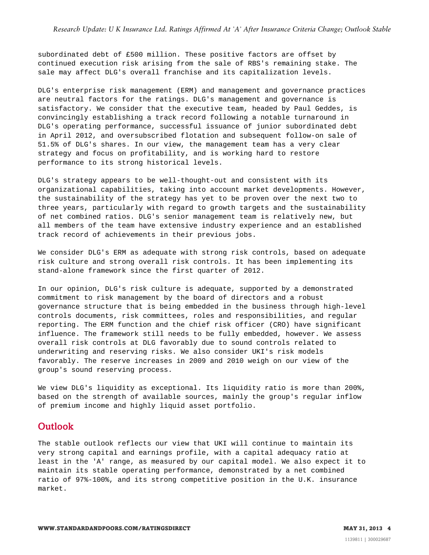subordinated debt of £500 million. These positive factors are offset by continued execution risk arising from the sale of RBS's remaining stake. The sale may affect DLG's overall franchise and its capitalization levels.

DLG's enterprise risk management (ERM) and management and governance practices are neutral factors for the ratings. DLG's management and governance is satisfactory. We consider that the executive team, headed by Paul Geddes, is convincingly establishing a track record following a notable turnaround in DLG's operating performance, successful issuance of junior subordinated debt in April 2012, and oversubscribed flotation and subsequent follow-on sale of 51.5% of DLG's shares. In our view, the management team has a very clear strategy and focus on profitability, and is working hard to restore performance to its strong historical levels.

DLG's strategy appears to be well-thought-out and consistent with its organizational capabilities, taking into account market developments. However, the sustainability of the strategy has yet to be proven over the next two to three years, particularly with regard to growth targets and the sustainability of net combined ratios. DLG's senior management team is relatively new, but all members of the team have extensive industry experience and an established track record of achievements in their previous jobs.

We consider DLG's ERM as adequate with strong risk controls, based on adequate risk culture and strong overall risk controls. It has been implementing its stand-alone framework since the first quarter of 2012.

In our opinion, DLG's risk culture is adequate, supported by a demonstrated commitment to risk management by the board of directors and a robust governance structure that is being embedded in the business through high-level controls documents, risk committees, roles and responsibilities, and regular reporting. The ERM function and the chief risk officer (CRO) have significant influence. The framework still needs to be fully embedded, however. We assess overall risk controls at DLG favorably due to sound controls related to underwriting and reserving risks. We also consider UKI's risk models favorably. The reserve increases in 2009 and 2010 weigh on our view of the group's sound reserving process.

We view DLG's liquidity as exceptional. Its liquidity ratio is more than 200%, based on the strength of available sources, mainly the group's regular inflow of premium income and highly liquid asset portfolio.

#### <span id="page-3-0"></span>Outlook

The stable outlook reflects our view that UKI will continue to maintain its very strong capital and earnings profile, with a capital adequacy ratio at least in the 'A' range, as measured by our capital model. We also expect it to maintain its stable operating performance, demonstrated by a net combined ratio of 97%-100%, and its strong competitive position in the U.K. insurance market.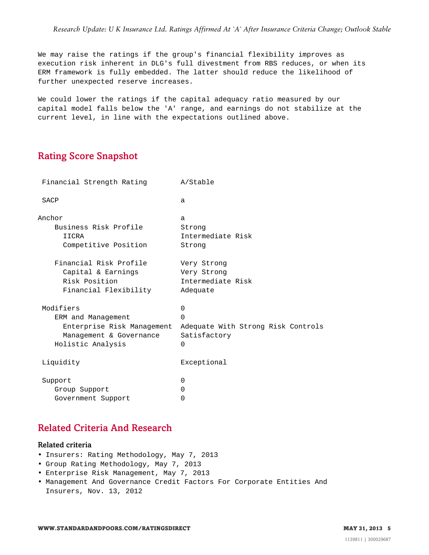We may raise the ratings if the group's financial flexibility improves as execution risk inherent in DLG's full divestment from RBS reduces, or when its ERM framework is fully embedded. The latter should reduce the likelihood of further unexpected reserve increases.

We could lower the ratings if the capital adequacy ratio measured by our capital model falls below the 'A' range, and earnings do not stabilize at the current level, in line with the expectations outlined above.

## <span id="page-4-0"></span>Rating Score Snapshot

| Financial Strength Rating  | A/Stable                           |
|----------------------------|------------------------------------|
| SACP                       | a                                  |
| Anchor                     | a                                  |
| Business Risk Profile      | Strong                             |
| IICRA                      | Intermediate Risk                  |
| Competitive Position       | Strong                             |
| Financial Risk Profile     | Very Strong                        |
| Capital & Earnings         | Very Strong                        |
| Risk Position              | Intermediate Risk                  |
| Financial Flexibility      | Adequate                           |
| Modifiers                  | $\Omega$                           |
| ERM and Management         | $\Omega$                           |
| Enterprise Risk Management | Adequate With Strong Risk Controls |
| Management & Governance    | Satisfactory                       |
| Holistic Analysis          | $\Omega$                           |
| Liquidity                  | Exceptional                        |
| Support                    | <sup>0</sup>                       |
| Group Support              | <sup>0</sup>                       |
| Government Support         | 0                                  |

# <span id="page-4-1"></span>Related Criteria And Research

#### Related criteria

- Insurers: Rating Methodology, May 7, 2013
- Group Rating Methodology, May 7, 2013
- Enterprise Risk Management, May 7, 2013
- Management And Governance Credit Factors For Corporate Entities And Insurers, Nov. 13, 2012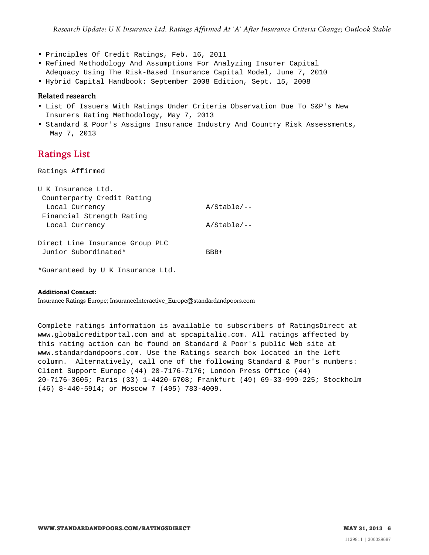- Principles Of Credit Ratings, Feb. 16, 2011
- Refined Methodology And Assumptions For Analyzing Insurer Capital
- Adequacy Using The Risk-Based Insurance Capital Model, June 7, 2010
- Hybrid Capital Handbook: September 2008 Edition, Sept. 15, 2008

#### Related research

- List Of Issuers With Ratings Under Criteria Observation Due To S&P's New Insurers Rating Methodology, May 7, 2013
- <span id="page-5-0"></span>• Standard & Poor's Assigns Insurance Industry And Country Risk Assessments, May 7, 2013

#### Ratings List

Ratings Affirmed

| U K Insurance Ltd.              |               |
|---------------------------------|---------------|
| Counterparty Credit Rating      |               |
| Local Currency                  | $A/Stable/--$ |
| Financial Strength Rating       |               |
| Local Currency                  | $A/Stable/--$ |
|                                 |               |
| Direct Line Insurance Group PLC |               |
| Junior Subordinated*            | RRR+          |
|                                 |               |

\*Guaranteed by U K Insurance Ltd.

#### **Additional Contact:**

Insurance Ratings Europe; InsuranceInteractive\_Europe@standardandpoors.com

Complete ratings information is available to subscribers of RatingsDirect at www.globalcreditportal.com and at spcapitaliq.com. All ratings affected by this rating action can be found on Standard & Poor's public Web site at www.standardandpoors.com. Use the Ratings search box located in the left column. Alternatively, call one of the following Standard & Poor's numbers: Client Support Europe (44) 20-7176-7176; London Press Office (44) 20-7176-3605; Paris (33) 1-4420-6708; Frankfurt (49) 69-33-999-225; Stockholm (46) 8-440-5914; or Moscow 7 (495) 783-4009.